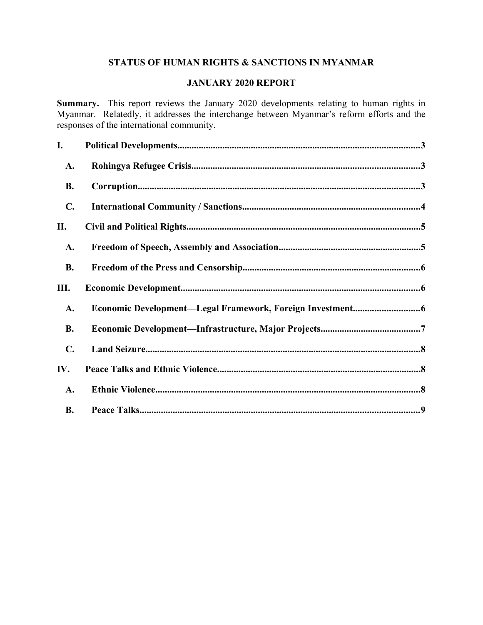# **STATUS OF HUMAN RIGHTS & SANCTIONS IN MYANMAR**

## **JANUARY 2020 REPORT**

**Summary.** This report reviews the January 2020 developments relating to human rights in Myanmar. Relatedly, it addresses the interchange between Myanmar's reform efforts and the responses of the international community.

| I.             |  |
|----------------|--|
| A.             |  |
| <b>B.</b>      |  |
| $\mathbf{C}$ . |  |
| П.             |  |
| A.             |  |
| <b>B.</b>      |  |
| Ш.             |  |
| A.             |  |
| <b>B.</b>      |  |
| $\mathbf{C}$ . |  |
|                |  |
| IV.            |  |
| A.             |  |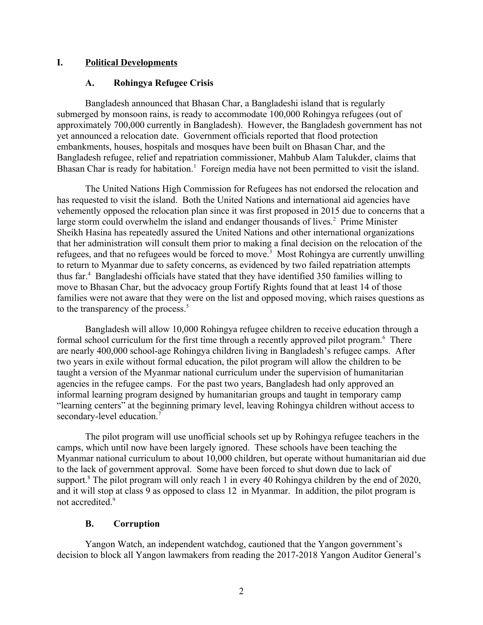## **I. Political Developments**

## <span id="page-1-2"></span><span id="page-1-0"></span>**A. Rohingya Refugee Crisis**

Bangladesh announced that Bhasan Char, a Bangladeshi island that is regularly submerged by monsoon rains, is ready to accommodate 100,000 Rohingya refugees (out of approximately 700,000 currently in Bangladesh). However, the Bangladesh government has not yet announced a relocation date. Government officials reported that flood protection embankments, houses, hospitals and mosques have been built on Bhasan Char, and the Bangladesh refugee, relief and repatriation commissioner, Mahbub Alam Talukder, claims that Bhasan Char is ready for habitation.<sup>1</sup> Foreign media have not been permitted to visit the island.

The United Nations High Commission for Refugees has not endorsed the relocation and has requested to visit the island. Both the United Nations and international aid agencies have vehemently opposed the relocation plan since it was first proposed in 2015 due to concerns that a large storm could overwhelm the island and endanger thousands of lives.<sup>2</sup> Prime Minister Sheikh Hasina has repeatedly assured the United Nations and other international organizations that her administration will consult them prior to making a final decision on the relocation of the refugees, and that no refugees would be forced to move.<sup>3</sup> Most Rohingya are currently unwilling to return to Myanmar due to safety concerns, as evidenced by two failed repatriation attempts thus far.<sup>4</sup> Bangladeshi officials have stated that they have identified 350 families willing to move to Bhasan Char, but the advocacy group Fortify Rights found that at least 14 of those families were not aware that they were on the list and opposed moving, which raises questions as to the transparency of the process.<sup>5</sup>

Bangladesh will allow 10,000 Rohingya refugee children to receive education through a formal school curriculum for the first time through a recently approved pilot program.<sup>6</sup> There are nearly 400,000 school-age Rohingya children living in Bangladesh's refugee camps. After two years in exile without formal education, the pilot program will allow the children to be taught a version of the Myanmar national curriculum under the supervision of humanitarian agencies in the refugee camps. For the past two years, Bangladesh had only approved an informal learning program designed by humanitarian groups and taught in temporary camp "learning centers" at the beginning primary level, leaving Rohingya children without access to secondary-level education.<sup>7</sup>

The pilot program will use unofficial schools set up by Rohingya refugee teachers in the camps, which until now have been largely ignored. These schools have been teaching the Myanmar national curriculum to about 10,000 children, but operate without humanitarian aid due to the lack of government approval. Some have been forced to shut down due to lack of support.<sup>8</sup> The pilot program will only reach 1 in every 40 Rohingya children by the end of 2020, and it will stop at class 9 as opposed to class 12 in Myanmar. In addition, the pilot program is not accredited.<sup>9</sup>

## <span id="page-1-1"></span>**B. Corruption**

Yangon Watch, an independent watchdog, cautioned that the Yangon government's decision to block all Yangon lawmakers from reading the 2017-2018 Yangon Auditor General's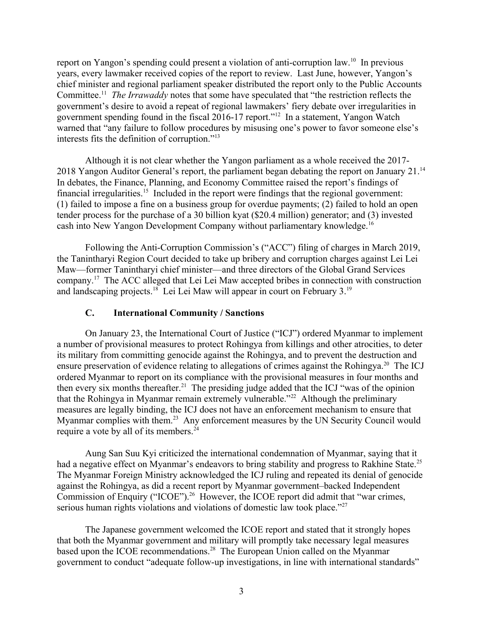report on Yangon's spending could present a violation of anti-corruption law.<sup>10</sup> In previous years, every lawmaker received copies of the report to review. Last June, however, Yangon's chief minister and regional parliament speaker distributed the report only to the Public Accounts Committee.<sup>11</sup> *The Irrawaddy* notes that some have speculated that "the restriction reflects the government's desire to avoid a repeat of regional lawmakers' fiery debate over irregularities in government spending found in the fiscal 2016-17 report."<sup>12</sup> In a statement, Yangon Watch warned that "any failure to follow procedures by misusing one's power to favor someone else's interests fits the definition of corruption."<sup>13</sup>

Although it is not clear whether the Yangon parliament as a whole received the 2017- 2018 Yangon Auditor General's report, the parliament began debating the report on January 21.<sup>14</sup> In debates, the Finance, Planning, and Economy Committee raised the report's findings of financial irregularities.<sup>15</sup> Included in the report were findings that the regional government: (1) failed to impose a fine on a business group for overdue payments; (2) failed to hold an open tender process for the purchase of a 30 billion kyat (\$20.4 million) generator; and (3) invested cash into New Yangon Development Company without parliamentary knowledge.<sup>16</sup>

Following the Anti-Corruption Commission's ("ACC") filing of charges in March 2019, the Tanintharyi Region Court decided to take up bribery and corruption charges against Lei Lei Maw—former Tanintharyi chief minister—and three directors of the Global Grand Services company.<sup>17</sup> The ACC alleged that Lei Lei Maw accepted bribes in connection with construction and landscaping projects.<sup>18</sup> Lei Lei Maw will appear in court on February 3.<sup>19</sup>

## <span id="page-2-0"></span>**C. International Community / Sanctions**

On January 23, the International Court of Justice ("ICJ") ordered Myanmar to implement a number of provisional measures to protect Rohingya from killings and other atrocities, to deter its military from committing genocide against the Rohingya, and to prevent the destruction and ensure preservation of evidence relating to allegations of crimes against the Rohingya.<sup>20</sup> The ICJ ordered Myanmar to report on its compliance with the provisional measures in four months and then every six months thereafter.<sup>21</sup> The presiding judge added that the ICJ "was of the opinion" that the Rohingya in Myanmar remain extremely vulnerable."<sup>22</sup> Although the preliminary measures are legally binding, the ICJ does not have an enforcement mechanism to ensure that Myanmar complies with them.<sup>23</sup> Any enforcement measures by the UN Security Council would require a vote by all of its members.<sup>24</sup>

Aung San Suu Kyi criticized the international condemnation of Myanmar, saying that it had a negative effect on Myanmar's endeavors to bring stability and progress to Rakhine State.<sup>25</sup> The Myanmar Foreign Ministry acknowledged the ICJ ruling and repeated its denial of genocide against the Rohingya, as did a recent report by Myanmar government–backed Independent Commission of Enquiry ("ICOE").<sup>26</sup> However, the ICOE report did admit that "war crimes, serious human rights violations and violations of domestic law took place."<sup>27</sup>

The Japanese government welcomed the ICOE report and stated that it strongly hopes that both the Myanmar government and military will promptly take necessary legal measures based upon the ICOE recommendations.<sup>28</sup> The European Union called on the Myanmar government to conduct "adequate follow-up investigations, in line with international standards"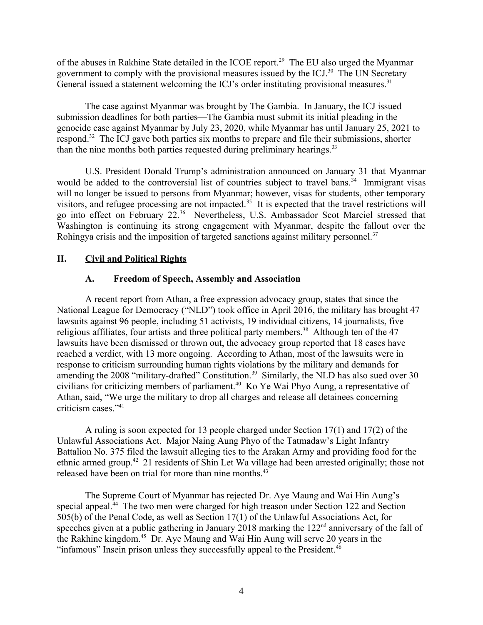of the abuses in Rakhine State detailed in the ICOE report.<sup>29</sup> The EU also urged the Myanmar government to comply with the provisional measures issued by the ICJ.<sup>30</sup> The UN Secretary General issued a statement welcoming the ICJ's order instituting provisional measures.<sup>31</sup>

The case against Myanmar was brought by The Gambia. In January, the ICJ issued submission deadlines for both parties—The Gambia must submit its initial pleading in the genocide case against Myanmar by July 23, 2020, while Myanmar has until January 25, 2021 to respond.<sup>32</sup> The ICJ gave both parties six months to prepare and file their submissions, shorter than the nine months both parties requested during preliminary hearings.<sup>33</sup>

U.S. President Donald Trump's administration announced on January 31 that Myanmar would be added to the controversial list of countries subject to travel bans.<sup>34</sup> Immigrant visas will no longer be issued to persons from Myanmar; however, visas for students, other temporary visitors, and refugee processing are not impacted.<sup>35</sup> It is expected that the travel restrictions will go into effect on February 22.<sup>36</sup> Nevertheless, U.S. Ambassador Scot Marciel stressed that Washington is continuing its strong engagement with Myanmar, despite the fallout over the Rohingya crisis and the imposition of targeted sanctions against military personnel.<sup>37</sup>

## **II. Civil and Political Rights**

## <span id="page-3-1"></span><span id="page-3-0"></span>**A. Freedom of Speech, Assembly and Association**

A recent report from Athan, a free expression advocacy group, states that since the National League for Democracy ("NLD") took office in April 2016, the military has brought 47 lawsuits against 96 people, including 51 activists, 19 individual citizens, 14 journalists, five religious affiliates, four artists and three political party members.<sup>38</sup> Although ten of the  $47$ lawsuits have been dismissed or thrown out, the advocacy group reported that 18 cases have reached a verdict, with 13 more ongoing. According to Athan, most of the lawsuits were in response to criticism surrounding human rights violations by the military and demands for amending the 2008 "military-drafted" Constitution.<sup>39</sup> Similarly, the NLD has also sued over 30 civilians for criticizing members of parliament.<sup>40</sup> Ko Ye Wai Phyo Aung, a representative of Athan, said, "We urge the military to drop all charges and release all detainees concerning criticism cases."<sup>41</sup>

A ruling is soon expected for 13 people charged under Section 17(1) and 17(2) of the Unlawful Associations Act. Major Naing Aung Phyo of the Tatmadaw's Light Infantry Battalion No. 375 filed the lawsuit alleging ties to the Arakan Army and providing food for the ethnic armed group.<sup>42</sup> 21 residents of Shin Let Wa village had been arrested originally; those not released have been on trial for more than nine months.<sup>43</sup>

The Supreme Court of Myanmar has rejected Dr. Aye Maung and Wai Hin Aung's special appeal.<sup>44</sup> The two men were charged for high treason under Section 122 and Section 505(b) of the Penal Code, as well as Section 17(1) of the Unlawful Associations Act, for speeches given at a public gathering in January 2018 marking the 122<sup>nd</sup> anniversary of the fall of the Rakhine kingdom.<sup>45</sup> Dr. Aye Maung and Wai Hin Aung will serve 20 years in the "infamous" Insein prison unless they successfully appeal to the President.<sup>46</sup>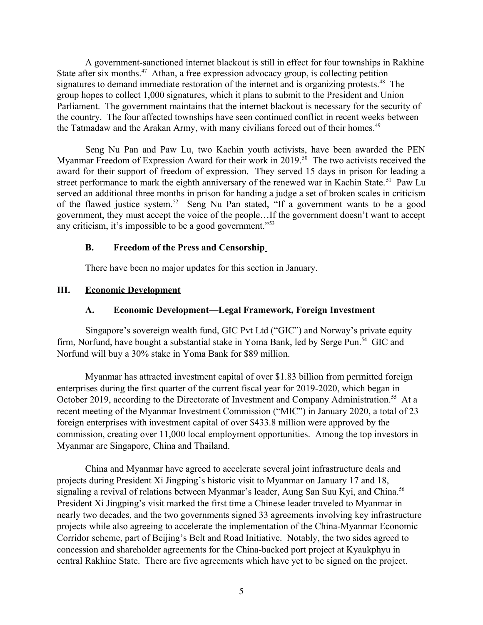A government-sanctioned internet blackout is still in effect for four townships in Rakhine State after six months.<sup>47</sup> Athan, a free expression advocacy group, is collecting petition signatures to demand immediate restoration of the internet and is organizing protests.<sup>48</sup> The group hopes to collect 1,000 signatures, which it plans to submit to the President and Union Parliament. The government maintains that the internet blackout is necessary for the security of the country. The four affected townships have seen continued conflict in recent weeks between the Tatmadaw and the Arakan Army, with many civilians forced out of their homes.<sup>49</sup>

Seng Nu Pan and Paw Lu, two Kachin youth activists, have been awarded the PEN Myanmar Freedom of Expression Award for their work in 2019.<sup>50</sup> The two activists received the award for their support of freedom of expression. They served 15 days in prison for leading a street performance to mark the eighth anniversary of the renewed war in Kachin State.<sup>51</sup> Paw Lu served an additional three months in prison for handing a judge a set of broken scales in criticism of the flawed justice system.<sup>52</sup> Seng Nu Pan stated, "If a government wants to be a good government, they must accept the voice of the people…If the government doesn't want to accept any criticism, it's impossible to be a good government."<sup>53</sup>

## <span id="page-4-2"></span>**B. Freedom of the Press and Censorship**

<span id="page-4-1"></span>There have been no major updates for this section in January.

## **III. Economic Development**

## <span id="page-4-0"></span>**A. Economic Development—Legal Framework, Foreign Investment**

Singapore's sovereign wealth fund, GIC Pvt Ltd ("GIC") and Norway's private equity firm, Norfund, have bought a substantial stake in Yoma Bank, led by Serge Pun.<sup>54</sup> GIC and Norfund will buy a 30% stake in Yoma Bank for \$89 million.

Myanmar has attracted investment capital of over \$1.83 billion from permitted foreign enterprises during the first quarter of the current fiscal year for 2019-2020, which began in October 2019, according to the Directorate of Investment and Company Administration.<sup>55</sup> At a recent meeting of the Myanmar Investment Commission ("MIC") in January 2020, a total of 23 foreign enterprises with investment capital of over \$433.8 million were approved by the commission, creating over 11,000 local employment opportunities. Among the top investors in Myanmar are Singapore, China and Thailand.

China and Myanmar have agreed to accelerate several joint infrastructure deals and projects during President Xi Jingping's historic visit to Myanmar on January 17 and 18, signaling a revival of relations between Myanmar's leader, Aung San Suu Kyi, and China.<sup>56</sup> President Xi Jingping's visit marked the first time a Chinese leader traveled to Myanmar in nearly two decades, and the two governments signed 33 agreements involving key infrastructure projects while also agreeing to accelerate the implementation of the China-Myanmar Economic Corridor scheme, part of Beijing's Belt and Road Initiative. Notably, the two sides agreed to concession and shareholder agreements for the China-backed port project at Kyaukphyu in central Rakhine State. There are five agreements which have yet to be signed on the project.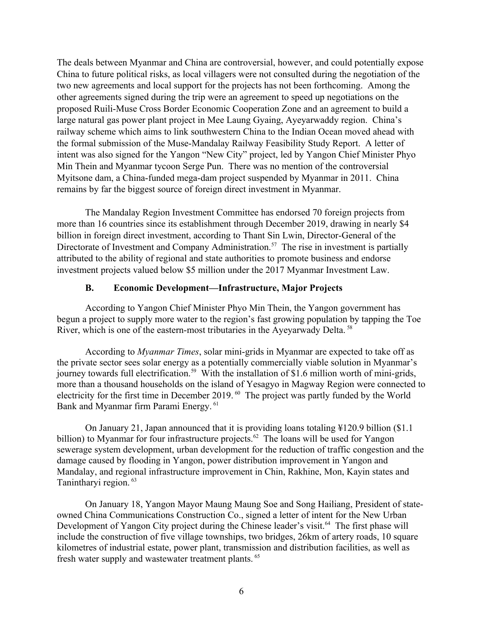The deals between Myanmar and China are controversial, however, and could potentially expose China to future political risks, as local villagers were not consulted during the negotiation of the two new agreements and local support for the projects has not been forthcoming. Among the other agreements signed during the trip were an agreement to speed up negotiations on the proposed Ruili-Muse Cross Border Economic Cooperation Zone and an agreement to build a large natural gas power plant project in Mee Laung Gyaing, Ayeyarwaddy region. China's railway scheme which aims to link southwestern China to the Indian Ocean moved ahead with the formal submission of the Muse-Mandalay Railway Feasibility Study Report. A letter of intent was also signed for the Yangon "New City" project, led by Yangon Chief Minister Phyo Min Thein and Myanmar tycoon Serge Pun. There was no mention of the controversial Myitsone dam, a China-funded mega-dam project suspended by Myanmar in 2011. China remains by far the biggest source of foreign direct investment in Myanmar.

The Mandalay Region Investment Committee has endorsed 70 foreign projects from more than 16 countries since its establishment through December 2019, drawing in nearly \$4 billion in foreign direct investment, according to Thant Sin Lwin, Director-General of the Directorate of Investment and Company Administration.<sup>57</sup> The rise in investment is partially attributed to the ability of regional and state authorities to promote business and endorse investment projects valued below \$5 million under the 2017 Myanmar Investment Law.

## <span id="page-5-0"></span>**B. Economic Development—Infrastructure, Major Projects**

According to Yangon Chief Minister Phyo Min Thein, the Yangon government has begun a project to supply more water to the region's fast growing population by tapping the Toe River, which is one of the eastern-most tributaries in the Ayeyarwady Delta.<sup>58</sup>

According to *Myanmar Times*, solar mini-grids in Myanmar are expected to take off as the private sector sees solar energy as a potentially commercially viable solution in Myanmar's journey towards full electrification.<sup>59</sup> With the installation of \$1.6 million worth of mini-grids, more than a thousand households on the island of Yesagyo in Magway Region were connected to electricity for the first time in December 2019. <sup>60</sup> The project was partly funded by the World Bank and Myanmar firm Parami Energy. <sup>61</sup>

On January 21, Japan announced that it is providing loans totaling ¥120.9 billion (\$1.1 billion) to Myanmar for four infrastructure projects.<sup>62</sup> The loans will be used for Yangon sewerage system development, urban development for the reduction of traffic congestion and the damage caused by flooding in Yangon, power distribution improvement in Yangon and Mandalay, and regional infrastructure improvement in Chin, Rakhine, Mon, Kayin states and Tanintharyi region. <sup>63</sup>

On January 18, Yangon Mayor Maung Maung Soe and Song Hailiang, President of stateowned China Communications Construction Co., signed a letter of intent for the New Urban Development of Yangon City project during the Chinese leader's visit.<sup>64</sup> The first phase will include the construction of five village townships, two bridges, 26km of artery roads, 10 square kilometres of industrial estate, power plant, transmission and distribution facilities, as well as fresh water supply and wastewater treatment plants. <sup>65</sup>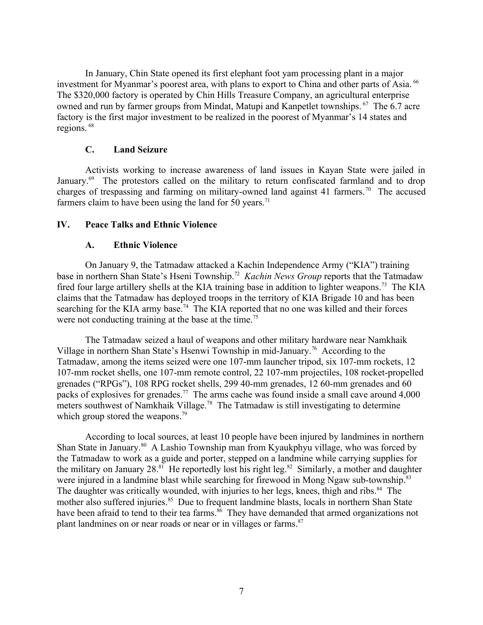In January, Chin State opened its first elephant foot yam processing plant in a major investment for Myanmar's poorest area, with plans to export to China and other parts of Asia.<sup>66</sup> The \$320,000 factory is operated by Chin Hills Treasure Company, an agricultural enterprise owned and run by farmer groups from Mindat, Matupi and Kanpetlet townships. <sup>67</sup> The 6.7 acre factory is the first major investment to be realized in the poorest of Myanmar's 14 states and regions. <sup>68</sup>

## <span id="page-6-2"></span>**C. Land Seizure**

Activists working to increase awareness of land issues in Kayan State were jailed in January.<sup>69</sup> The protestors called on the military to return confiscated farmland and to drop charges of trespassing and farming on military-owned land against 41 farmers.<sup>70</sup> The accused farmers claim to have been using the land for 50 years.<sup>71</sup>

## **IV. Peace Talks and Ethnic Violence**

## <span id="page-6-1"></span><span id="page-6-0"></span>**A. Ethnic Violence**

On January 9, the Tatmadaw attacked a Kachin Independence Army ("KIA") training base in northern Shan State's Hseni Township.<sup>72</sup> Kachin News Group reports that the Tatmadaw fired four large artillery shells at the KIA training base in addition to lighter weapons.<sup>73</sup> The KIA claims that the Tatmadaw has deployed troops in the territory of KIA Brigade 10 and has been searching for the KIA army base.<sup>74</sup> The KIA reported that no one was killed and their forces were not conducting training at the base at the time.<sup>75</sup>

The Tatmadaw seized a haul of weapons and other military hardware near Namkhaik Village in northern Shan State's Hsenwi Township in mid-January.<sup>76</sup> According to the Tatmadaw, among the items seized were one 107-mm launcher tripod, six 107-mm rockets, 12 107-mm rocket shells, one 107-mm remote control, 22 107-mm projectiles, 108 rocket-propelled grenades ("RPGs"), 108 RPG rocket shells, 299 40-mm grenades, 12 60-mm grenades and 60 packs of explosives for grenades.<sup>77</sup> The arms cache was found inside a small cave around 4,000 meters southwest of Namkhaik Village.<sup>78</sup> The Tatmadaw is still investigating to determine which group stored the weapons.<sup>79</sup>

According to local sources, at least 10 people have been injured by landmines in northern Shan State in January.<sup>80</sup> A Lashio Township man from Kyaukphyu village, who was forced by the Tatmadaw to work as a guide and porter, stepped on a landmine while carrying supplies for the military on January  $28.^{81}$  He reportedly lost his right leg.<sup>82</sup> Similarly, a mother and daughter were injured in a landmine blast while searching for firewood in Mong Ngaw sub-township.<sup>83</sup> The daughter was critically wounded, with injuries to her legs, knees, thigh and ribs.<sup>84</sup> The mother also suffered injuries.<sup>85</sup> Due to frequent landmine blasts, locals in northern Shan State have been afraid to tend to their tea farms.<sup>86</sup> They have demanded that armed organizations not plant landmines on or near roads or near or in villages or farms.<sup>87</sup>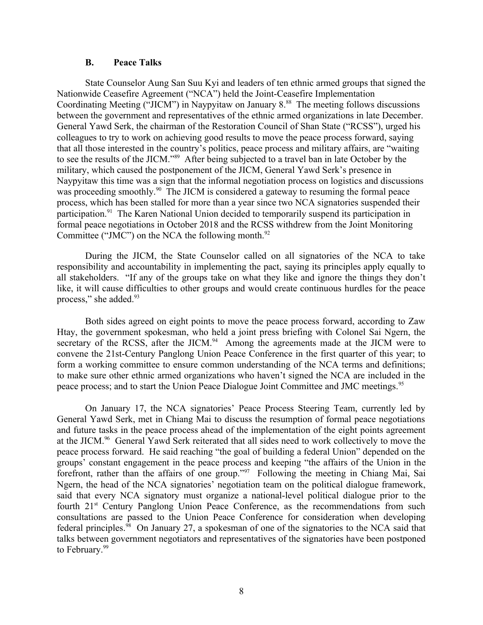#### <span id="page-7-0"></span>**B. Peace Talks**

State Counselor Aung San Suu Kyi and leaders of ten ethnic armed groups that signed the Nationwide Ceasefire Agreement ("NCA") held the Joint-Ceasefire Implementation Coordinating Meeting ("JICM") in Naypyitaw on January  $8.^{88}$  The meeting follows discussions between the government and representatives of the ethnic armed organizations in late December. General Yawd Serk, the chairman of the Restoration Council of Shan State ("RCSS"), urged his colleagues to try to work on achieving good results to move the peace process forward, saying that all those interested in the country's politics, peace process and military affairs, are "waiting to see the results of the JICM."<sup>89</sup> After being subjected to a travel ban in late October by the military, which caused the postponement of the JICM, General Yawd Serk's presence in Naypyitaw this time was a sign that the informal negotiation process on logistics and discussions was proceeding smoothly.<sup>90</sup> The JICM is considered a gateway to resuming the formal peace process, which has been stalled for more than a year since two NCA signatories suspended their participation.<sup>91</sup> The Karen National Union decided to temporarily suspend its participation in formal peace negotiations in October 2018 and the RCSS withdrew from the Joint Monitoring Committee ("JMC") on the NCA the following month. $92$ 

During the JICM, the State Counselor called on all signatories of the NCA to take responsibility and accountability in implementing the pact, saying its principles apply equally to all stakeholders. "If any of the groups take on what they like and ignore the things they don't like, it will cause difficulties to other groups and would create continuous hurdles for the peace process," she added.<sup>93</sup>

Both sides agreed on eight points to move the peace process forward, according to Zaw Htay, the government spokesman, who held a joint press briefing with Colonel Sai Ngern, the secretary of the RCSS, after the JICM.<sup>94</sup> Among the agreements made at the JICM were to convene the 21st-Century Panglong Union Peace Conference in the first quarter of this year; to form a working committee to ensure common understanding of the NCA terms and definitions; to make sure other ethnic armed organizations who haven't signed the NCA are included in the peace process; and to start the Union Peace Dialogue Joint Committee and JMC meetings.<sup>95</sup>

On January 17, the NCA signatories' Peace Process Steering Team, currently led by General Yawd Serk, met in Chiang Mai to discuss the resumption of formal peace negotiations and future tasks in the peace process ahead of the implementation of the eight points agreement at the JICM.<sup>96</sup> General Yawd Serk reiterated that all sides need to work collectively to move the peace process forward. He said reaching "the goal of building a federal Union" depended on the groups' constant engagement in the peace process and keeping "the affairs of the Union in the forefront, rather than the affairs of one group."<sup>97</sup> Following the meeting in Chiang Mai, Sai Ngern, the head of the NCA signatories' negotiation team on the political dialogue framework, said that every NCA signatory must organize a national-level political dialogue prior to the fourth 21<sup>st</sup> Century Panglong Union Peace Conference, as the recommendations from such consultations are passed to the Union Peace Conference for consideration when developing federal principles.<sup>98</sup> On January 27, a spokesman of one of the signatories to the NCA said that talks between government negotiators and representatives of the signatories have been postponed to February.<sup>99</sup>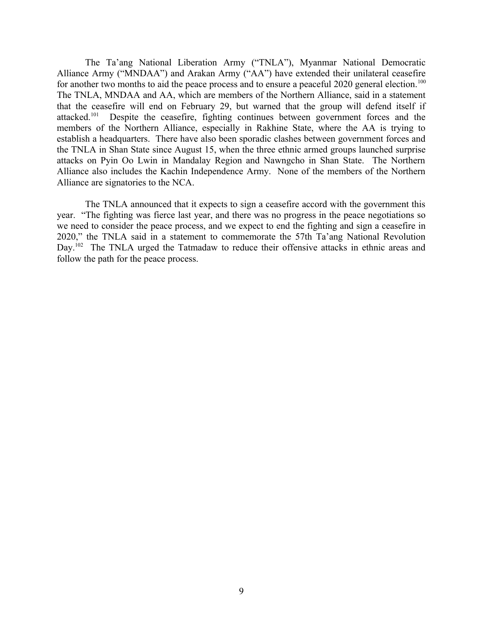The Ta'ang National Liberation Army ("TNLA"), Myanmar National Democratic Alliance Army ("MNDAA") and Arakan Army ("AA") have extended their unilateral ceasefire for another two months to aid the peace process and to ensure a peaceful 2020 general election.<sup>100</sup> The TNLA, MNDAA and AA, which are members of the Northern Alliance, said in a statement that the ceasefire will end on February 29, but warned that the group will defend itself if attacked.<sup>101</sup> Despite the ceasefire, fighting continues between government forces and the members of the Northern Alliance, especially in Rakhine State, where the AA is trying to establish a headquarters. There have also been sporadic clashes between government forces and the TNLA in Shan State since August 15, when the three ethnic armed groups launched surprise attacks on Pyin Oo Lwin in Mandalay Region and Nawngcho in Shan State. The Northern Alliance also includes the Kachin Independence Army. None of the members of the Northern Alliance are signatories to the NCA.

The TNLA announced that it expects to sign a ceasefire accord with the government this year. "The fighting was fierce last year, and there was no progress in the peace negotiations so we need to consider the peace process, and we expect to end the fighting and sign a ceasefire in 2020," the TNLA said in a statement to commemorate the 57th Ta'ang National Revolution Day.<sup>102</sup> The TNLA urged the Tatmadaw to reduce their offensive attacks in ethnic areas and follow the path for the peace process.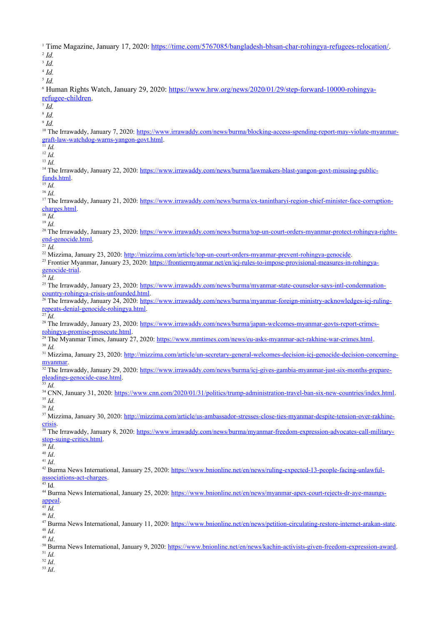<sup>1</sup> Time Magazine, January 17, 2020: <https://time.com/5767085/bangladesh-bhsan-char-rohingya-refugees-relocation/>. 2 *Id.* 3 *Id.* 4 *Id.* 5 *Id.* <sup>6</sup> Human Rights Watch, January 29, 2020: [https://www.hrw.org/news/2020/01/29/step-forward-10000-rohingya](https://www.hrw.org/news/2020/01/29/step-forward-10000-rohingya-refugee-children)[refugee-children.](https://www.hrw.org/news/2020/01/29/step-forward-10000-rohingya-refugee-children) 7 *Id.* 8 *Id.* 9 *Id.* <sup>10</sup> The Irrawaddy, January 7, 2020: [https://www.irrawaddy.com/news/burma/blocking-access-spending-report-may-violate-myanmar](https://www.irrawaddy.com/news/burma/blocking-access-spending-report-may-violate-myanmar-graft-law-watchdog-warns-yangon-govt.html)[graft-law-watchdog-warns-yangon-govt.html](https://www.irrawaddy.com/news/burma/blocking-access-spending-report-may-violate-myanmar-graft-law-watchdog-warns-yangon-govt.html).  $\overline{\bigcirc}$ <sup>11</sup> *Id.* <sup>12</sup> *Id.* <sup>13</sup> *Id.* <sup>14</sup> The Irrawaddy, January 22, 2020: [https://www.irrawaddy.com/news/burma/lawmakers-blast-yangon-govt-misusing-public](https://www.irrawaddy.com/news/burma/lawmakers-blast-yangon-govt-misusing-public-funds.html)[funds.html.](https://www.irrawaddy.com/news/burma/lawmakers-blast-yangon-govt-misusing-public-funds.html) <sup>15</sup> *Id.* <sup>16</sup> *Id.* <sup>17</sup> The Irrawaddy, January 21, 2020: [https://www.irrawaddy.com/news/burma/ex-tanintharyi-region-chief-minister-face-corruption](https://www.irrawaddy.com/news/burma/ex-tanintharyi-region-chief-minister-face-corruption-charges.html)[charges.html](https://www.irrawaddy.com/news/burma/ex-tanintharyi-region-chief-minister-face-corruption-charges.html).  $\overline{\frac{18}{18}}$ *Id.* <sup>19</sup> *Id.* <sup>20</sup> The Irrawaddy, January 23, 2020: [https://www.irrawaddy.com/news/burma/top-un-court-orders-myanmar-protect-rohingya-rights](https://www.irrawaddy.com/news/burma/top-un-court-orders-myanmar-protect-rohingya-rights-end-genocide.html)[end-genocide.html](https://www.irrawaddy.com/news/burma/top-un-court-orders-myanmar-protect-rohingya-rights-end-genocide.html).  $\frac{1}{21}$  *Id.* <sup>22</sup> Mizzima, January 23, 2020: [http://mizzima.com/article/top-un-court-orders-myanmar-prevent-rohingya-genocide.](http://mizzima.com/article/top-un-court-orders-myanmar-prevent-rohingya-genocide) <sup>23</sup> Frontier Myanmar, January 23, 2020: [https://frontiermyanmar.net/en/icj-rules-to-impose-provisional-measures-in-rohingya](https://frontiermyanmar.net/en/icj-rules-to-impose-provisional-measures-in-rohingya-genocide-trial)[genocide-trial.](https://frontiermyanmar.net/en/icj-rules-to-impose-provisional-measures-in-rohingya-genocide-trial) <sup>24</sup> *Id.* <sup>25</sup> The Irrawaddy, January 23, 2020: [https://www.irrawaddy.com/news/burma/myanmar-state-counselor-says-intl-condemnation](https://www.irrawaddy.com/news/burma/myanmar-state-counselor-says-intl-condemnation-country-rohingya-crisis-unfounded.html)[country-rohingya-crisis-unfounded.html](https://www.irrawaddy.com/news/burma/myanmar-state-counselor-says-intl-condemnation-country-rohingya-crisis-unfounded.html). <sup>26</sup> The Irrawaddy, January 24, 2020: [https://www.irrawaddy.com/news/burma/myanmar-foreign-ministry-acknowledges-icj-ruling](https://www.irrawaddy.com/news/burma/myanmar-foreign-ministry-acknowledges-icj-ruling-repeats-denial-genocide-rohingya.html)[repeats-denial-genocide-rohingya.html](https://www.irrawaddy.com/news/burma/myanmar-foreign-ministry-acknowledges-icj-ruling-repeats-denial-genocide-rohingya.html). <sup>27</sup> *Id.* <sup>28</sup> The Irrawaddy, January 23, 2020: [https://www.irrawaddy.com/news/burma/japan-welcomes-myanmar-govts-report-crimes](https://www.irrawaddy.com/news/burma/japan-welcomes-myanmar-govts-report-crimes-rohingya-promise-prosecute.html)[rohingya-promise-prosecute.html](https://www.irrawaddy.com/news/burma/japan-welcomes-myanmar-govts-report-crimes-rohingya-promise-prosecute.html). <sup>29</sup> The Myanmar Times, January 27, 2020: <https://www.mmtimes.com/news/eu-asks-myanmar-act-rakhine-war-crimes.html>. <sup>30</sup> *Id.* <sup>31</sup> Mizzima, January 23, 2020: http://mizzima.com/article/un-secretary-general-welcomes-decision-ici-genocide-decision-concerning[myanmar.](http://mizzima.com/article/un-secretary-general-welcomes-decision-icj-genocide-decision-concerning-myanmar) <sup>32</sup> The Irrawaddy, January 29, 2020: [https://www.irrawaddy.com/news/burma/icj-gives-gambia-myanmar-just-six-months-prepare](https://www.irrawaddy.com/news/burma/icj-gives-gambia-myanmar-just-six-months-prepare-pleadings-genocide-case.html)[pleadings-genocide-case.html](https://www.irrawaddy.com/news/burma/icj-gives-gambia-myanmar-just-six-months-prepare-pleadings-genocide-case.html). <sup>33</sup> *Id.* <sup>34</sup> CNN, January 31, 2020:<https://www.cnn.com/2020/01/31/politics/trump-administration-travel-ban-six-new-countries/index.html>. <sup>35</sup> *Id.* <sup>36</sup> *Id.* <sup>37</sup> Mizzima, January 30, 2020: [http://mizzima.com/article/us-ambassador-stresses-close-ties-myanmar-despite-tension-over-rakhine](http://mizzima.com/article/us-ambassador-stresses-close-ties-myanmar-despite-tension-over-rakhine-crisis)[crisis.](http://mizzima.com/article/us-ambassador-stresses-close-ties-myanmar-despite-tension-over-rakhine-crisis) 38 The Irrawaddy, January 8, 2020: [https://www.irrawaddy.com/news/burma/myanmar-freedom-expression-advocates-call-military](https://www.irrawaddy.com/news/burma/myanmar-freedom-expression-advocates-call-military-stop-suing-critics.html)[stop-suing-critics.html](https://www.irrawaddy.com/news/burma/myanmar-freedom-expression-advocates-call-military-stop-suing-critics.html).  $39 \dot{Id}$ <sup>40</sup> *Id*. <sup>41</sup> *Id*. 42 Burma News International, January 25, 2020: [https://www.bnionline.net/en/news/ruling-expected-13-people-facing-unlawful](https://www.bnionline.net/en/news/ruling-expected-13-people-facing-unlawful-associations-act-charges)[associations-act-charges](https://www.bnionline.net/en/news/ruling-expected-13-people-facing-unlawful-associations-act-charges).  $\frac{1}{43}$  Id. <sup>44</sup> Burma News International, January 25, 2020: [https://www.bnionline.net/en/news/myanmar-apex-court-rejects-dr-aye-maungs](https://www.bnionline.net/en/news/myanmar-apex-court-rejects-dr-aye-maungs-appeal)[appeal](https://www.bnionline.net/en/news/myanmar-apex-court-rejects-dr-aye-maungs-appeal). <sup>45</sup> *Id.* <sup>46</sup> *Id*. <sup>47</sup> Burma News International, January 11, 2020: [https://www.bnionline.net/en/news/petition-circulating-restore-internet-arakan-state.](https://www.bnionline.net/en/news/petition-circulating-restore-internet-arakan-state) <sup>48</sup> *Id*. <sup>49</sup> *Id*. <sup>50</sup> Burma News International, January 9, 2020: [https://www.bnionline.net/en/news/kachin-activists-given-freedom-expression-award.](https://www.bnionline.net/en/news/kachin-activists-given-freedom-expression-award) <sup>51</sup> *Id.* <sup>52</sup> *Id*. <sup>53</sup> *Id*.